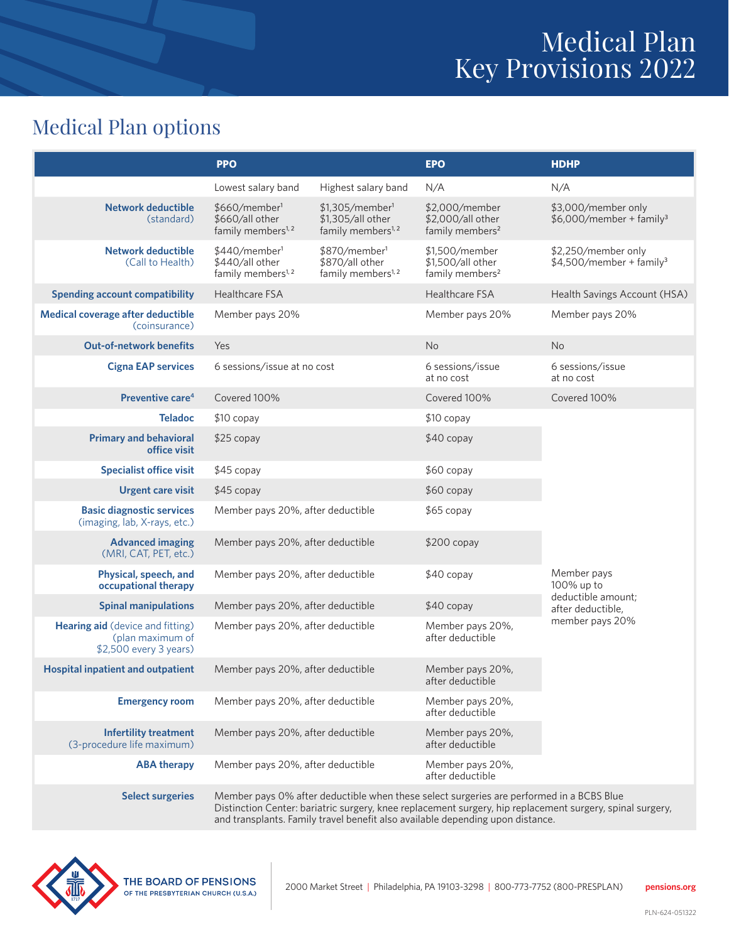# Medical Plan Key Provisions 2022

## Medical Plan options

|                                                                                | <b>PPO</b>                                                                                                                                                                                                                                                                              |                                                                                   | <b>EPO</b>                                                         | <b>HDHP</b>                                                          |  |
|--------------------------------------------------------------------------------|-----------------------------------------------------------------------------------------------------------------------------------------------------------------------------------------------------------------------------------------------------------------------------------------|-----------------------------------------------------------------------------------|--------------------------------------------------------------------|----------------------------------------------------------------------|--|
|                                                                                | Lowest salary band                                                                                                                                                                                                                                                                      | Highest salary band                                                               | N/A                                                                | N/A                                                                  |  |
| <b>Network deductible</b><br>(standard)                                        | \$660/member <sup>1</sup><br>\$660/all other<br>family members <sup>1, 2</sup>                                                                                                                                                                                                          | \$1,305/member <sup>1</sup><br>\$1,305/all other<br>family members <sup>1,2</sup> | \$2,000/member<br>\$2,000/all other<br>family members <sup>2</sup> | \$3,000/member only<br>$$6,000/member + family3$                     |  |
| <b>Network deductible</b><br>(Call to Health)                                  | \$440/member <sup>1</sup><br>\$440/all other<br>family members <sup>1, 2</sup>                                                                                                                                                                                                          | \$870/member <sup>1</sup><br>\$870/all other<br>family members <sup>1,2</sup>     | \$1,500/member<br>\$1,500/all other<br>family members <sup>2</sup> | \$2,250/member only<br>$$4,500/member + family3$                     |  |
| <b>Spending account compatibility</b>                                          | Healthcare FSA                                                                                                                                                                                                                                                                          |                                                                                   | Healthcare FSA                                                     | Health Savings Account (HSA)                                         |  |
| <b>Medical coverage after deductible</b><br>(coinsurance)                      | Member pays 20%                                                                                                                                                                                                                                                                         |                                                                                   | Member pays 20%                                                    | Member pays 20%                                                      |  |
| <b>Out-of-network benefits</b>                                                 | Yes                                                                                                                                                                                                                                                                                     |                                                                                   | <b>No</b>                                                          | <b>No</b>                                                            |  |
| <b>Cigna EAP services</b>                                                      | 6 sessions/issue at no cost                                                                                                                                                                                                                                                             |                                                                                   | 6 sessions/issue<br>at no cost                                     | 6 sessions/issue<br>at no cost                                       |  |
| Preventive care <sup>4</sup>                                                   | Covered 100%                                                                                                                                                                                                                                                                            |                                                                                   | Covered 100%                                                       | Covered 100%                                                         |  |
| <b>Teladoc</b>                                                                 | $$10$ copay<br>$$25$ copay                                                                                                                                                                                                                                                              |                                                                                   | $$10$ copay                                                        | Member pays<br>100% up to<br>deductible amount;<br>after deductible, |  |
| <b>Primary and behavioral</b><br>office visit                                  |                                                                                                                                                                                                                                                                                         |                                                                                   | $$40$ copay                                                        |                                                                      |  |
| <b>Specialist office visit</b>                                                 | $$45$ copay                                                                                                                                                                                                                                                                             |                                                                                   | \$60 copay                                                         |                                                                      |  |
| <b>Urgent care visit</b>                                                       | \$45 copay                                                                                                                                                                                                                                                                              |                                                                                   | $$60$ copay                                                        |                                                                      |  |
| <b>Basic diagnostic services</b><br>(imaging, lab, X-rays, etc.)               | Member pays 20%, after deductible                                                                                                                                                                                                                                                       |                                                                                   | $$65$ copay                                                        |                                                                      |  |
| <b>Advanced imaging</b><br>(MRI, CAT, PET, etc.)                               | Member pays 20%, after deductible                                                                                                                                                                                                                                                       |                                                                                   | $$200$ copay                                                       |                                                                      |  |
| Physical, speech, and<br>occupational therapy                                  | Member pays 20%, after deductible                                                                                                                                                                                                                                                       |                                                                                   | $$40$ copay                                                        |                                                                      |  |
| <b>Spinal manipulations</b>                                                    | Member pays 20%, after deductible                                                                                                                                                                                                                                                       |                                                                                   | \$40 copay                                                         |                                                                      |  |
| Hearing aid (device and fitting)<br>(plan maximum of<br>\$2,500 every 3 years) | Member pays 20%, after deductible                                                                                                                                                                                                                                                       |                                                                                   | Member pays 20%,<br>after deductible                               | member pays 20%                                                      |  |
| <b>Hospital inpatient and outpatient</b>                                       | Member pays 20%, after deductible                                                                                                                                                                                                                                                       |                                                                                   | Member pays 20%,<br>after deductible                               |                                                                      |  |
| <b>Emergency room</b>                                                          | Member pays 20%, after deductible                                                                                                                                                                                                                                                       |                                                                                   | Member pays 20%,<br>after deductible                               |                                                                      |  |
| <b>Infertility treatment</b><br>(3-procedure life maximum)                     | Member pays 20%, after deductible                                                                                                                                                                                                                                                       |                                                                                   | Member pays 20%,<br>after deductible                               |                                                                      |  |
| <b>ABA therapy</b>                                                             | Member pays 20%, after deductible                                                                                                                                                                                                                                                       |                                                                                   | Member pays 20%,<br>after deductible                               |                                                                      |  |
| <b>Select surgeries</b>                                                        | Member pays 0% after deductible when these select surgeries are performed in a BCBS Blue<br>Distinction Center: bariatric surgery, knee replacement surgery, hip replacement surgery, spinal surgery,<br>and transplants. Family travel benefit also available depending upon distance. |                                                                                   |                                                                    |                                                                      |  |